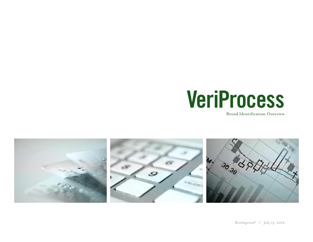

Brand Identification Overview

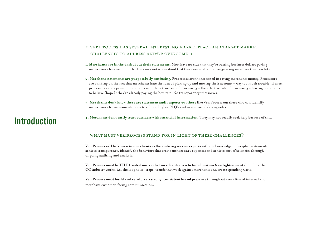### :: veriprocess has several interesting marketplace and target market challenges to address and/or overcome ::

- **1. Merchants are in the dark about their statements.** Most have no clue that they're wasting business dollars paying unnecessary fees each month. They may not understand that there are cost containing/saving measures they can take.
- **2. Merchant statements are purposefully confusing.** Processors aren't interested in saving merchants money. Processors are banking on the fact that merchants hate the idea of picking up and moving their account – way too much trouble. Hence, processors rarely present merchants with their true cost of processing – the effective rate of processing - leaving merchants to believe (hope?) they're already paying the best rate. No transparency whatsoever.
- **3. Merchants don't know there are statement audit experts out there** like VeriProcess out there who can identify unnecessary fee assessments, ways to achieve higher PLQ's and ways to avoid downgrades.

## **Introduction**

**4. Merchants don't easily trust outsiders with financial information.** They may not readily seek help because of this.

#### :: what must veriprocess stand for in light of these challenges? ::

**VeriProcess will be known to merchants as the auditing service experts** with the knowledge to decipher statements, achieve transparency, identify the behaviors that create unnecessary expenses and achieve cost efficiencies through ongoing auditing and analysis.

**VeriProcess must be THE trusted source that merchants turn to for education & enlightenment** about how the CC industry works; i.e. the loopholes, traps, trends that work against merchants and create spending waste.

**VeriProcess must build and reinforce a strong, consistent brand presence** throughout every line of internal and merchant customer-facing communication.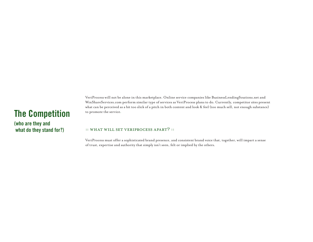## **The Competition**

**(who are they and what do they stand for?)**

VeriProcess will not be alone in this marketplace. Online service companies like BusinessLendingSoutions.net and WinShareServices.com perform similar type of services as VeriProcess plans to do. Currently, competitor sites present what can be perceived as a bit too slick of a pitch in both content and look & feel (too much sell, not enough substance) to promote the service.

### :: what will set veriprocess apart? ::

VeriProcess must offer a sophisticated brand presence, and consistent brand voice that, together, will impart a sense of trust, expertise and authority that simply isn't seen, felt or implied by the others.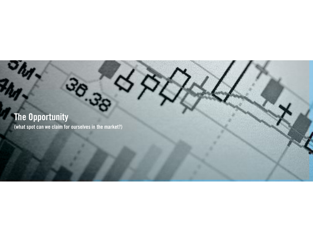**The Opportunity (what spot can we claim for ourselves in the market?)**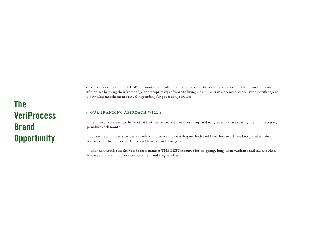VeriProcess will become THE MOST most trusted ally of merchants; experts in identifying wasteful behaviors and cost efficiencies by using their knowledge and proprietary software to bring maximum transparency and cost savings with regard to how/what merchants are actually spending for processing services.

#### :: our branding approach will ::

- Open merchants' eyes to the fact that their behaviors are likely resulting in downgrades that are costing them unnecessary penalties each month.
- Educate merchants so they better understand current processing methods and know how to achieve best practices when it comes to efficient transactions (and how to avoid downgrades)
- ...and then firmly seat the VeriProcess name as THE BEST resource for on-going, long-term guidance and savings when it comes to merchant processor statement auditing services.

# **The VeriProcess Brand Opportunity**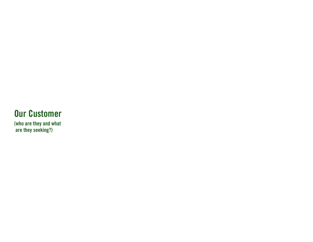# **Our Customer**

**(who are they and what are they seeking?)**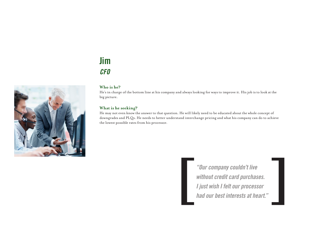## **Jim**  *CFO*



### **Who is he?**

He's in charge of the bottom line at his company and always looking for ways to improve it. His job is to look at the big picture.

#### **What is he seeking?**

He may not even know the answer to that question. He will likely need to be educated about the whole concept of downgrades and PLQs. He needs to better understand interchange pricing and what his company can do to achieve the lowest possible rates from his processor.

> *"Our company couldn't live without credit card purchases. I I interest interests at heart."*<br> *I just wish I felt our processor had our best interests at heart."*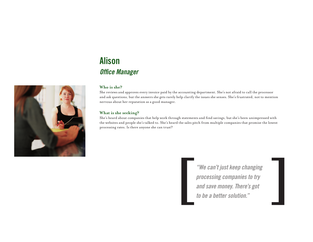# **Alison**  *Office Manager*



She reviews and approves every invoice paid by the accounting department. She's not afraid to call the processor and ask questions, but the answers she gets rarely help clarify the issues she senses. She's frustrated, not to mention nervous about her reputation as a good manager.

### **What is she seeking?**

She's heard about companies that help work through statements and find savings, but she's been unimpressed with the websites and people she's talked to. She's heard the sales pitch from multiple companies that promise the lowest processing rates. Is there anyone she can trust?

> *"We can't just keep changing processing companies to try a. <sup>a</sup> <sup>4</sup> <i>and save money. There's got processing companies to try and save money. There's got**to be a better solution."*

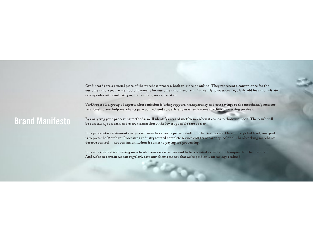Credit cards are a crucial piece of the purchase process, both in-store or online. They represent a convenience for the customer and a secure method of payment for customer and merchant. Currently, processors regularly add fees and initiate downgrades with confusing or, more often, no explanation.

VeriProcess is a group of experts whose mission is bring support, transparency and cost savings to the merchant/processor relationship and help merchants gain control and cost effciencies when it comes to their processing services.

## **Brand Manifesto**

By analyzing your processing methods, we'll identify areas of ineffciency when it comes to those methods. The result will be cost savings on each and every transaction at the lowest possible rate or tier.

Our proprietary statement analysis software has already proven itself in other industries. On a more global level, our goal is to press the Merchant Processing industry toward complete service cost transparency. After all, hardworking merchants deserve control... not confusion...when it comes to paying for processing.

Our sole interest is in saving merchants from excessive fees and to be a trusted expert and champion for the merchant. And we're so certain we can regularly save our clients money that we're paid only on savings realized.

**Hickory**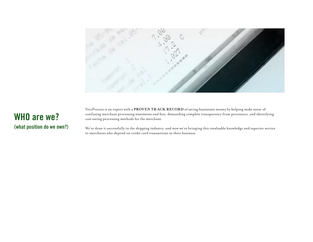

## **WHO are we? (what position do we own?)**

VeriProcess is an expert with a **PROVEN TR ACK RECORD** of saving businesses money by helping make sense of confusing merchant processing statements and fees, demanding complete transparency from processors, and identifying cost saving processing methods for the merchant.

We've done it successfully in the shipping industry, and now we're bringing this invaluable knowledge and superior service to merchants who depend on credit card transactions in their business.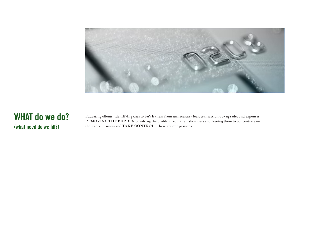

## **WHAT do we do? (what need do we fill?)**

Educating clients, identifying ways to **SAVE** them from unnecessary fees, transaction downgrades and expenses, **REMOVING THE BURDEN** of solving the problem from their shoulders and freeing them to concentrate on their core business and **TAKE CONTROL**...these are our passions.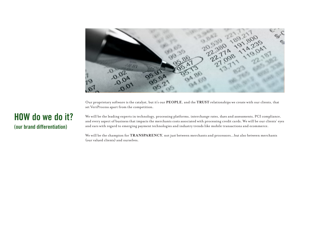

Our proprietary software is the catalyst, but it's our **PEOPLE**, and the **TRUST** relationships we create with our clients, that set VeriProcess apart from the competition.

### **HOW do we do it? (our brand differentiation)**

We will be the leading experts in technology, processing platforms, interchange rates, dues and assessments, PCI compliance, and every aspect of business that impacts the merchants costs associated with processing credit cards. We will be our clients' eyes and ears with regard to emerging payment technologies and industry trends like mobile transactions and ecommerce.

We will be the champion for **TRANSPARENCY**, not just between merchants and processors...but also between merchants (our valued clients) and ourselves.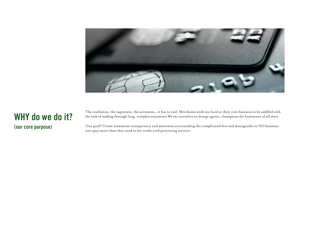

### **WHY do we do it? (our core purpose)**

The confusion, the vagueness, the acronyms...it has to end. Merchants work too hard at their core business to be saddled with the task of wading through long, complex statements We see ourselves as change agents, champions for businesses of all sizes.

Our goal? Create maximum transparency and awareness surrounding the complicated fees and downgrades so NO business ever pays more than they need to for credit card processing services.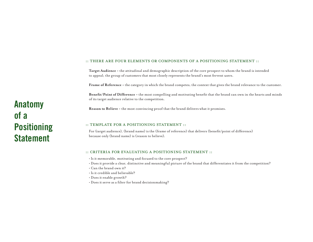#### :: there are four elements or components of a positioning statement ::

**Target Audience -** the attitudinal and demographic description of the core prospect to whom the brand is intended to appeal; the group of customers that most closely represents the brand's most fervent users.

**Frame of Reference -** the category in which the brand competes; the context that gives the brand relevance to the customer.

**Benefit/Point of Difference -** the most compelling and motivating benefit that the brand can own in the hearts and minds of its target audience relative to the competition.

**Reason to Believe -** the most convincing proof that the brand delivers what it promises.

#### :: TEMPLATE FOR A POSITIONING STATEMENT ::

For (target audience), (brand name) is the (frame of reference) that delivers (benefit/point of difference) because only (brand name) is (reason to believe).

#### :: criteria for evaluating a positioning statement ::

- Is it memorable, motivating and focused to the core prospect?
- Does it provide a clear, distinctive and meaningful picture of the brand that differentiates it from the competition?
- Can the brand own it?
- Is it credible and believable?
- Does it enable growth?
- Does it serve as a filter for brand decisionmaking?

**Anatomy of a Positioning Statement**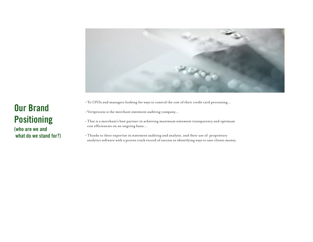

- To CFOs and managers looking for ways to control the cost of their credit card processing...
- Veriprocess is the merchant statement auditing company...
- That is a merchant's best partner in achieving maximum statement transparency and optimum cost efficiencies on an ongoing basis...
- Thanks to their expertise in statement auditing and analysis, and their use of proprietary analytics software with a proven track record of success in identifying ways to save clients money.

# **Our Brand Positioning**

**(who are we and what do we stand for?)**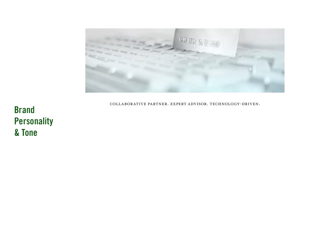

collaborative partner. expert advisor. technology-driven.

**Brand Personality & Tone**